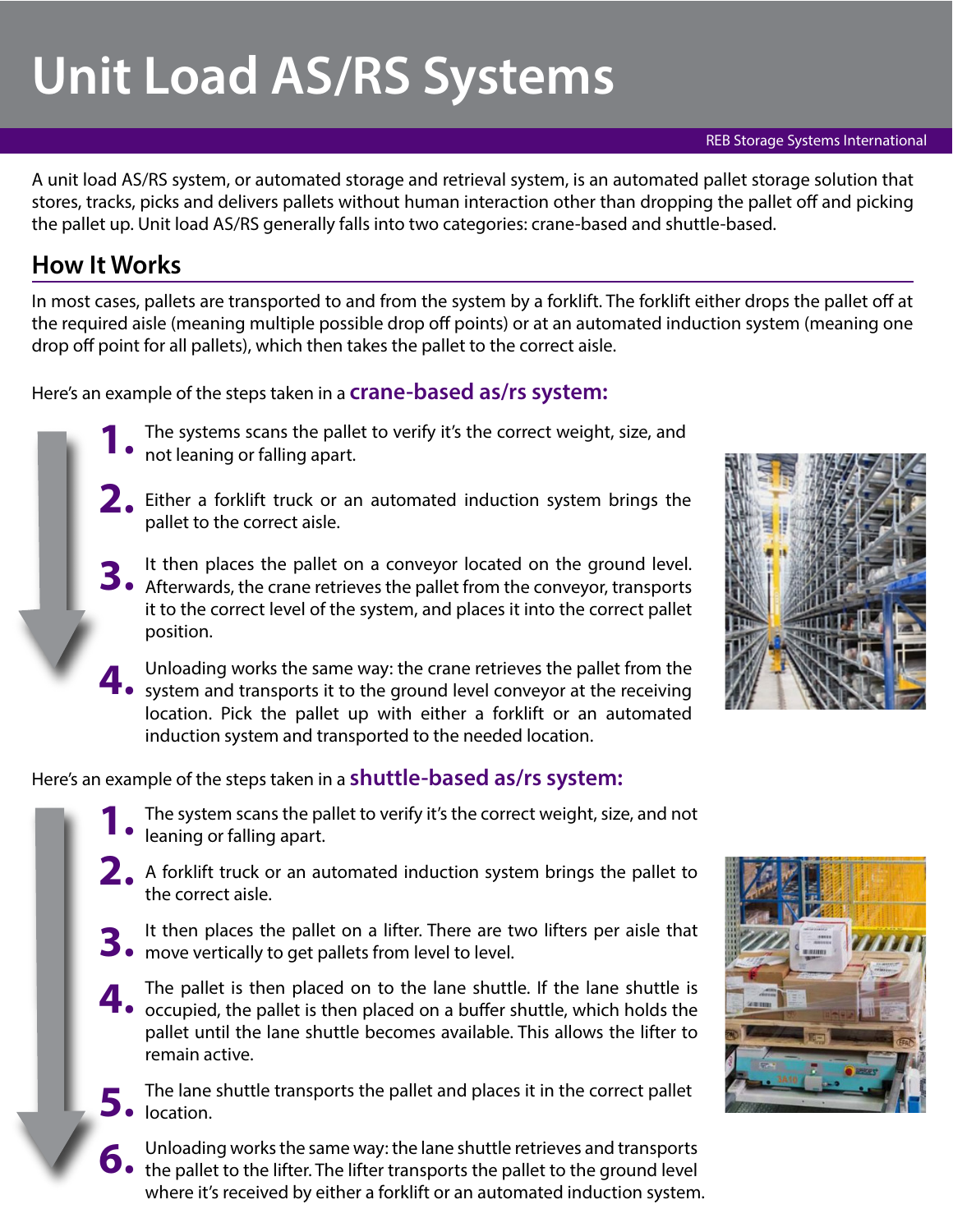# **Unit Load AS/RS Systems**

#### REB Storage Systems International

A unit load AS/RS system, or automated storage and retrieval system, is an automated pallet storage solution that stores, tracks, picks and delivers pallets without human interaction other than dropping the pallet off and picking the pallet up. Unit load AS/RS generally falls into two categories: crane-based and shuttle-based.

### **How It Works**

In most cases, pallets are transported to and from the system by a forklift. The forklift either drops the pallet off at the required aisle (meaning multiple possible drop off points) or at an automated induction system (meaning one drop off point for all pallets), which then takes the pallet to the correct aisle.

Here's an example of the steps taken in a **crane-based as/rs system:**

- The systems scans the pallet to verify it's the correct weight, size, and **N** on the system or falling apart.
- **2.** Either a forklift truck or an automated induction system brings the pallet to the correct aisle.
- **3.** It then places the pallet on a conveyor located on the ground level. Afterwards, the crane retrieves the pallet from the conveyor, transports it to the correct level of the system, and places it into the correct pallet position.
- 4. Unloading works the same way: the crane retrieves the pallet from the system and transports it to the ground level conveyor at the receiving location. Pick the pallet up with either a forklift or an automated induction system and transported to the needed location.

Here's an example of the steps taken in a **shuttle-based as/rs system:**

- The system scans the pallet to verify it's the correct weight, size, and not • leaning or falling apart.
- **2.** A forklift truck or an automated induction system brings the pallet to the correct aisle.
- **3.** It then places the pallet on a lifter. There are two lifters per aisle that move vertically to get pallets from level to level.
- **4.** The pallet is then placed on to the lane shuttle. If the lane shuttle is occupied, the pallet is then placed on a buffer shuttle, which holds the pallet until the lane shuttle becomes available. This allows the lifter to remain active.
- **5.** The lane shuttle transports the pallet and places it in the correct pallet location.
- **6.** Unloading works the same way: the lane shuttle retrieves and transports the pallet to the lifter. The lifter transports the pallet to the ground level where it's received by either a forklift or an automated induction system.



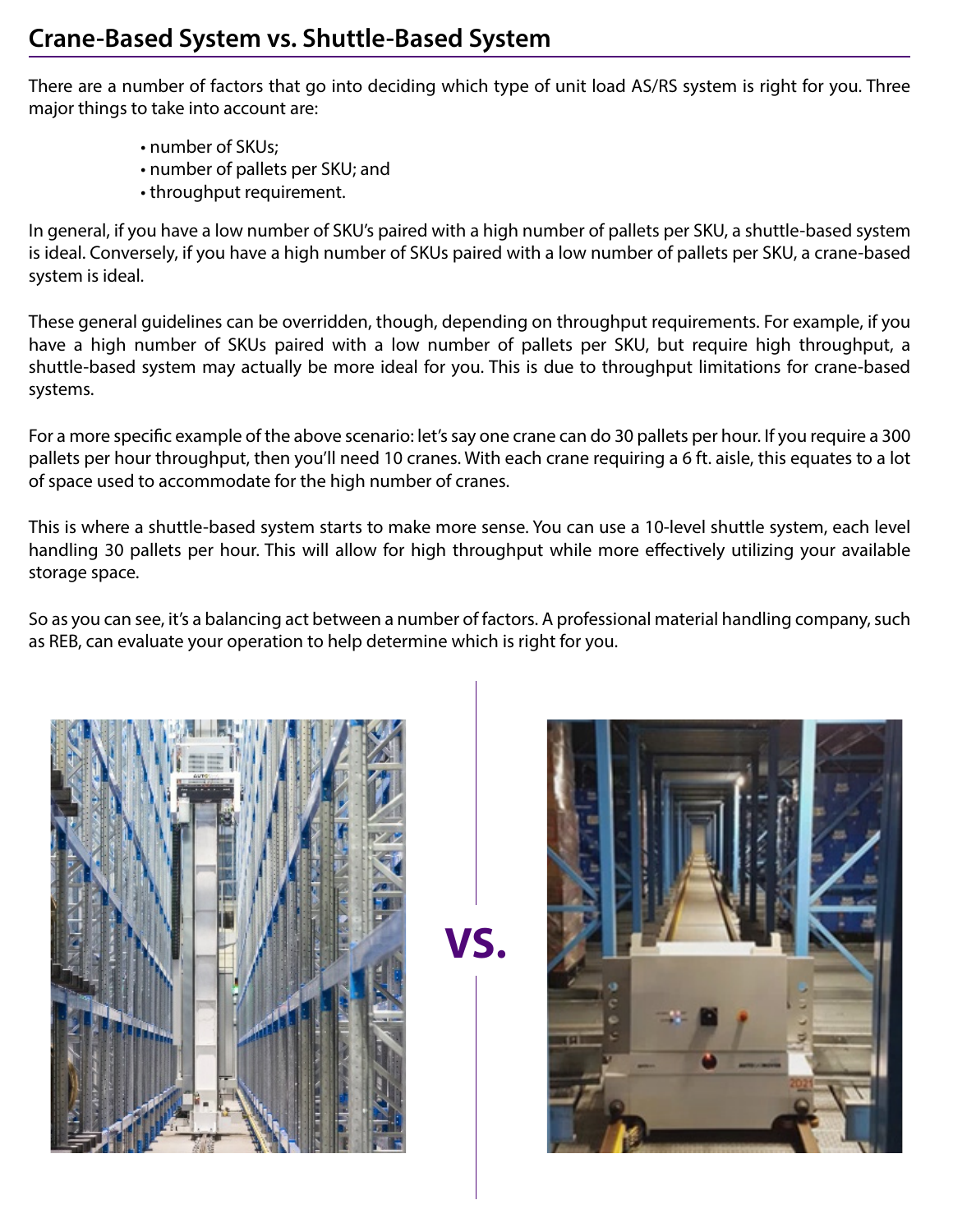There are a number of factors that go into deciding which type of unit load AS/RS system is right for you. Three major things to take into account are:

- number of SKUs;
- number of pallets per SKU; and
- throughput requirement.

In general, if you have a low number of SKU's paired with a high number of pallets per SKU, a shuttle-based system is ideal. Conversely, if you have a high number of SKUs paired with a low number of pallets per SKU, a crane-based system is ideal.

These general guidelines can be overridden, though, depending on throughput requirements. For example, if you have a high number of SKUs paired with a low number of pallets per SKU, but require high throughput, a shuttle-based system may actually be more ideal for you. This is due to throughput limitations for crane-based systems.

For a more specific example of the above scenario: let's say one crane can do 30 pallets per hour. If you require a 300 pallets per hour throughput, then you'll need 10 cranes. With each crane requiring a 6 ft. aisle, this equates to a lot of space used to accommodate for the high number of cranes.

This is where a shuttle-based system starts to make more sense. You can use a 10-level shuttle system, each level handling 30 pallets per hour. This will allow for high throughput while more effectively utilizing your available storage space.

So as you can see, it's a balancing act between a number of factors. A professional material handling company, such as REB, can evaluate your operation to help determine which is right for you.



**VS.**

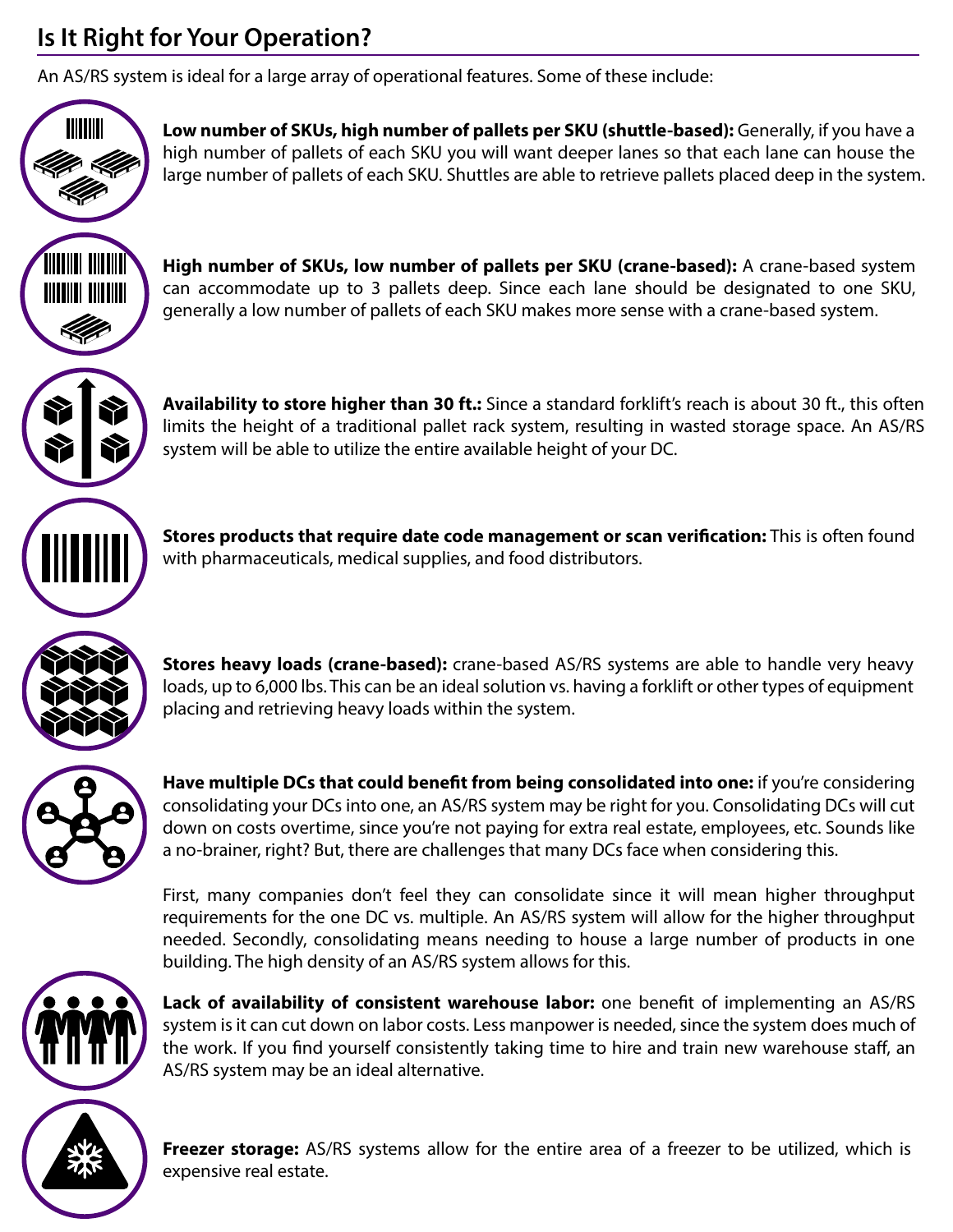# **Is It Right for Your Operation?**

An AS/RS system is ideal for a large array of operational features. Some of these include:



**Low number of SKUs, high number of pallets per SKU (shuttle-based):** Generally, if you have a high number of pallets of each SKU you will want deeper lanes so that each lane can house the large number of pallets of each SKU. Shuttles are able to retrieve pallets placed deep in the system.



**TITTIIII** 

**High number of SKUs, low number of pallets per SKU (crane-based):** A crane-based system can accommodate up to 3 pallets deep. Since each lane should be designated to one SKU, generally a low number of pallets of each SKU makes more sense with a crane-based system.



**Availability to store higher than 30 ft.:** Since a standard forklift's reach is about 30 ft., this often limits the height of a traditional pallet rack system, resulting in wasted storage space. An AS/RS system will be able to utilize the entire available height of your DC.

**Stores products that require date code management or scan verification:** This is often found with pharmaceuticals, medical supplies, and food distributors.



**Stores heavy loads (crane-based):** crane-based AS/RS systems are able to handle very heavy loads, up to 6,000 lbs. This can be an ideal solution vs. having a forklift or other types of equipment placing and retrieving heavy loads within the system.



Have multiple DCs that could benefit from being consolidated into one: if you're considering consolidating your DCs into one, an AS/RS system may be right for you. Consolidating DCs will cut down on costs overtime, since you're not paying for extra real estate, employees, etc. Sounds like a no-brainer, right? But, there are challenges that many DCs face when considering this.

First, many companies don't feel they can consolidate since it will mean higher throughput requirements for the one DC vs. multiple. An AS/RS system will allow for the higher throughput needed. Secondly, consolidating means needing to house a large number of products in one building. The high density of an AS/RS system allows for this.



**Lack of availability of consistent warehouse labor:** one benefit of implementing an AS/RS system is it can cut down on labor costs. Less manpower is needed, since the system does much of the work. If you find yourself consistently taking time to hire and train new warehouse staff, an AS/RS system may be an ideal alternative.



**Freezer storage:** AS/RS systems allow for the entire area of a freezer to be utilized, which is expensive real estate.